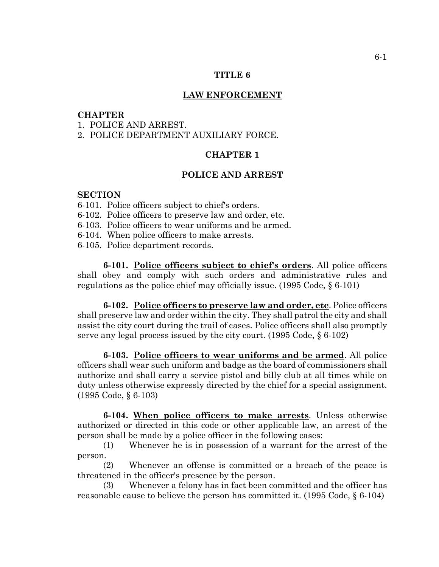## **TITLE 6**

### **LAW ENFORCEMENT**

## **CHAPTER**

1. POLICE AND ARREST.

2. POLICE DEPARTMENT AUXILIARY FORCE.

## **CHAPTER 1**

#### **POLICE AND ARREST**

#### **SECTION**

- 6-101. Police officers subject to chief's orders.
- 6-102. Police officers to preserve law and order, etc.
- 6-103. Police officers to wear uniforms and be armed.
- 6-104. When police officers to make arrests.
- 6-105. Police department records.

**6-101. Police officers subject to chief's orders**. All police officers shall obey and comply with such orders and administrative rules and regulations as the police chief may officially issue. (1995 Code, § 6-101)

**6-102. Police officers to preserve law and order, etc**. Police officers shall preserve law and order within the city. They shall patrol the city and shall assist the city court during the trail of cases. Police officers shall also promptly serve any legal process issued by the city court. (1995 Code, § 6-102)

**6-103. Police officers to wear uniforms and be armed**. All police officers shall wear such uniform and badge as the board of commissioners shall authorize and shall carry a service pistol and billy club at all times while on duty unless otherwise expressly directed by the chief for a special assignment. (1995 Code, § 6-103)

**6-104. When police officers to make arrests**. Unless otherwise authorized or directed in this code or other applicable law, an arrest of the person shall be made by a police officer in the following cases:

(1) Whenever he is in possession of a warrant for the arrest of the person.

(2) Whenever an offense is committed or a breach of the peace is threatened in the officer's presence by the person.

(3) Whenever a felony has in fact been committed and the officer has reasonable cause to believe the person has committed it. (1995 Code, § 6-104)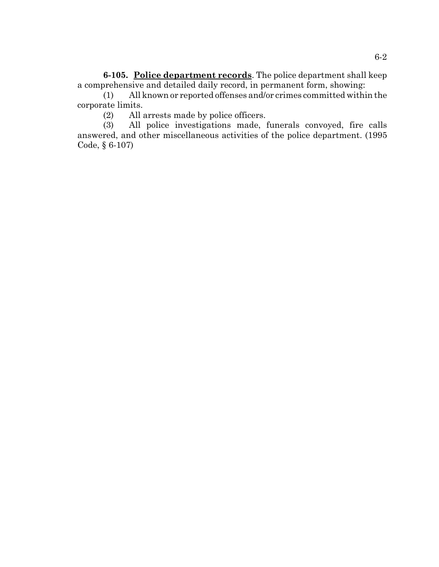**6-105. Police department records**. The police department shall keep a comprehensive and detailed daily record, in permanent form, showing:

(1) All known or reported offenses and/or crimes committed within the corporate limits.

(2) All arrests made by police officers.

(3) All police investigations made, funerals convoyed, fire calls answered, and other miscellaneous activities of the police department. (1995 Code, § 6-107)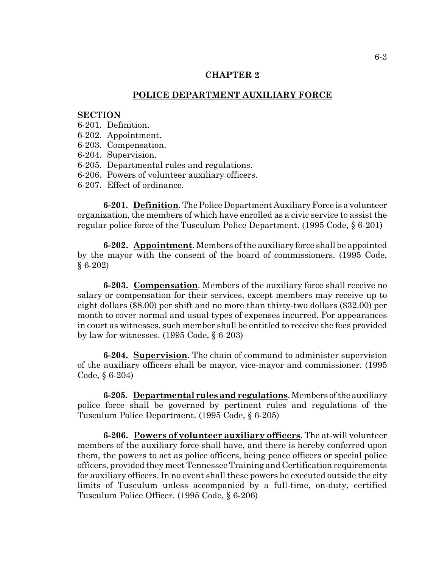# **CHAPTER 2**

### **POLICE DEPARTMENT AUXILIARY FORCE**

### **SECTION**

- 6-201. Definition.
- 6-202. Appointment.
- 6-203. Compensation.
- 6-204. Supervision.
- 6-205. Departmental rules and regulations.
- 6-206. Powers of volunteer auxiliary officers.
- 6-207. Effect of ordinance.

**6-201. Definition**. The Police Department Auxiliary Force is a volunteer organization, the members of which have enrolled as a civic service to assist the regular police force of the Tusculum Police Department. (1995 Code, § 6-201)

**6-202. Appointment**. Members of the auxiliary force shall be appointed by the mayor with the consent of the board of commissioners. (1995 Code, § 6-202)

**6-203. Compensation**. Members of the auxiliary force shall receive no salary or compensation for their services, except members may receive up to eight dollars (\$8.00) per shift and no more than thirty-two dollars (\$32.00) per month to cover normal and usual types of expenses incurred. For appearances in court as witnesses, such member shall be entitled to receive the fees provided by law for witnesses. (1995 Code, § 6-203)

**6-204. Supervision**. The chain of command to administer supervision of the auxiliary officers shall be mayor, vice-mayor and commissioner. (1995 Code, § 6-204)

**6-205. Departmental rules and regulations**. Members of the auxiliary police force shall be governed by pertinent rules and regulations of the Tusculum Police Department. (1995 Code, § 6-205)

**6-206. Powers of volunteer auxiliary officers**. The at-will volunteer members of the auxiliary force shall have, and there is hereby conferred upon them, the powers to act as police officers, being peace officers or special police officers, provided they meet Tennessee Training and Certification requirements for auxiliary officers. In no event shall these powers be executed outside the city limits of Tusculum unless accompanied by a full-time, on-duty, certified Tusculum Police Officer. (1995 Code, § 6-206)